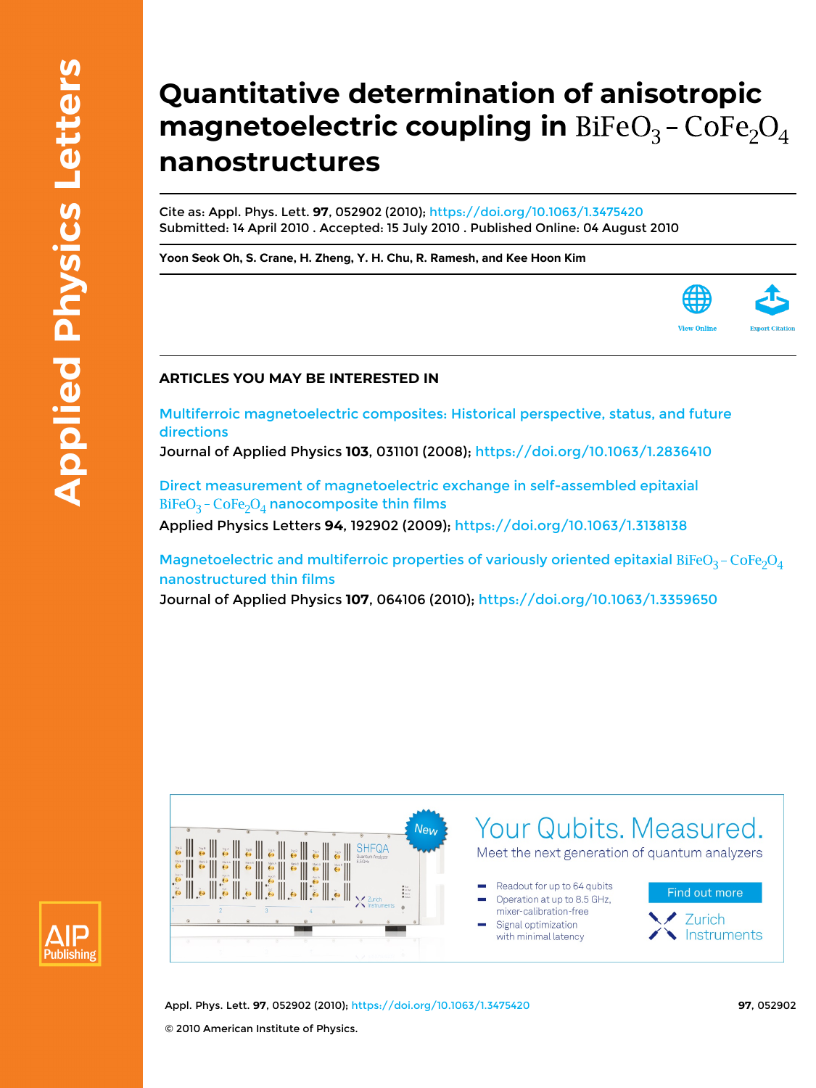Publishing

## **Quantitative determination of anisotropic magnetoelectric coupling in** BiFeO<sub>3</sub> - CoFe<sub>2</sub>O<sub>4</sub> **nanostructures**

Cite as: Appl. Phys. Lett. **97**, 052902 (2010); <https://doi.org/10.1063/1.3475420> Submitted: 14 April 2010 . Accepted: 15 July 2010 . Published Online: 04 August 2010

**[Yoon Seok Oh](https://aip.scitation.org/author/Oh%2C+Yoon+Seok), [S. Crane,](https://aip.scitation.org/author/Crane%2C+S) [H. Zheng](https://aip.scitation.org/author/Zheng%2C+H), [Y. H. Chu](https://aip.scitation.org/author/Chu%2C+Y+H), [R. Ramesh](https://aip.scitation.org/author/Ramesh%2C+R), and [Kee Hoon Kim](https://aip.scitation.org/author/Kim%2C+Kee+Hoon)**



## **ARTICLES YOU MAY BE INTERESTED IN**

[Multiferroic magnetoelectric composites: Historical perspective, status, and future](https://aip.scitation.org/doi/10.1063/1.2836410) [directions](https://aip.scitation.org/doi/10.1063/1.2836410)

Journal of Applied Physics **103**, 031101 (2008);<https://doi.org/10.1063/1.2836410>

[Direct measurement of magnetoelectric exchange in self-assembled epitaxial](https://aip.scitation.org/doi/10.1063/1.3138138)  $BiFeO<sub>3</sub> - CoFe<sub>2</sub>O<sub>4</sub>$  [nanocomposite thin films](https://aip.scitation.org/doi/10.1063/1.3138138)

Applied Physics Letters **94**, 192902 (2009);<https://doi.org/10.1063/1.3138138>

[Magnetoelectric and multiferroic properties of variously oriented epitaxial](https://aip.scitation.org/doi/10.1063/1.3359650) BiFeO<sub>3</sub> - CoFe<sub>2</sub>O<sub>4</sub> [nanostructured thin films](https://aip.scitation.org/doi/10.1063/1.3359650)

Journal of Applied Physics **107**, 064106 (2010);<https://doi.org/10.1063/1.3359650>



Appl. Phys. Lett. **97**, 052902 (2010); <https://doi.org/10.1063/1.3475420> **97**, 052902 © 2010 American Institute of Physics.

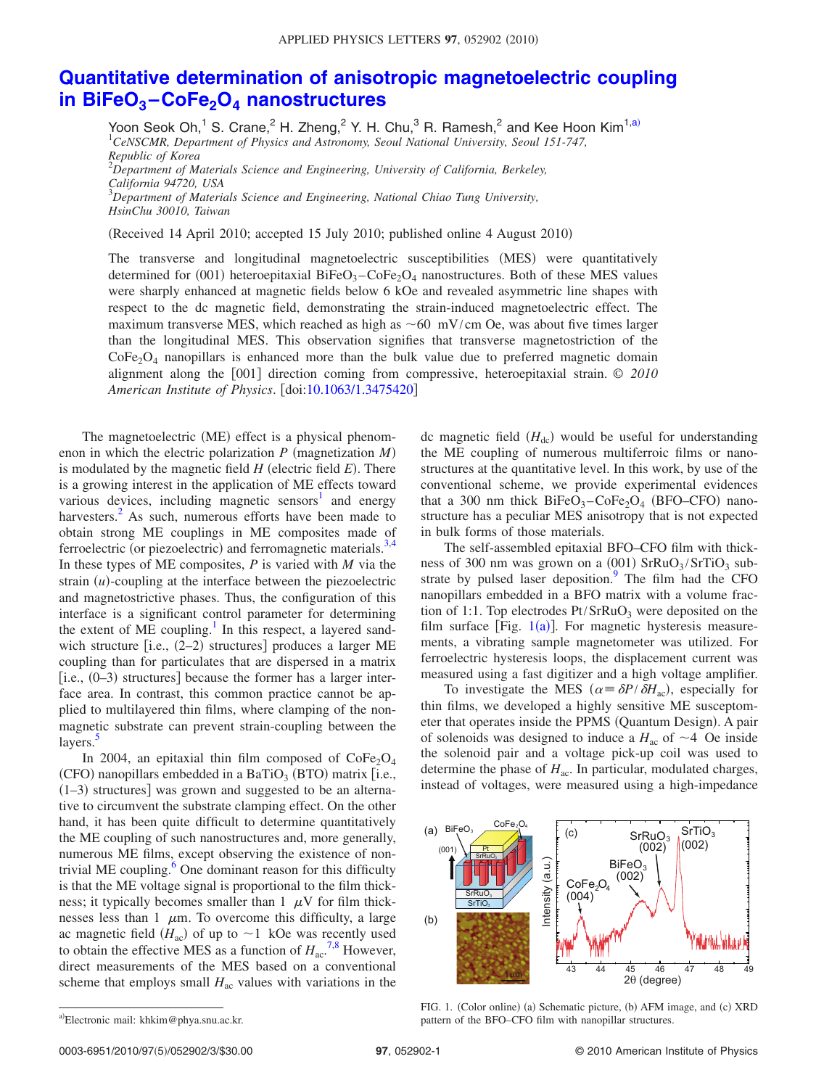## **[Quantitative determination of anisotropic magnetoelectric coupling](http://dx.doi.org/10.1063/1.3475420) in BiFeO3 –CoFe2O4 [nanostructures](http://dx.doi.org/10.1063/1.3475420)**

Yoon Seok Oh,<sup>1</sup> S. Crane,<sup>2</sup> H. Zheng,<sup>2</sup> Y. H. Chu,<sup>3</sup> R. Ramesh,<sup>2</sup> and Kee Hoon Kim<sup>1[,a](#page-1-0))</sup><br><sup>1</sup>CeNSCMR, Department of Physics and Astronomy, Seoul National University, Seoul 151-747, *Republic of Korea* 2 *Department of Materials Science and Engineering, University of California, Berkeley, California 94720, USA* 3 *Department of Materials Science and Engineering, National Chiao Tung University, HsinChu 30010, Taiwan*

(Received 14 April 2010; accepted 15 July 2010; published online 4 August 2010)

The transverse and longitudinal magnetoelectric susceptibilities (MES) were quantitatively determined for (001) heteroepitaxial  $BiFeO_3$ - $CoFe_2O_4$  nanostructures. Both of these MES values were sharply enhanced at magnetic fields below 6 kOe and revealed asymmetric line shapes with respect to the dc magnetic field, demonstrating the strain-induced magnetoelectric effect. The maximum transverse MES, which reached as high as  $\sim 60 \, \text{mV/cm}$  Oe, was about five times larger than the longitudinal MES. This observation signifies that transverse magnetostriction of the  $CoFe<sub>2</sub>O<sub>4</sub>$  nanopillars is enhanced more than the bulk value due to preferred magnetic domain alignment along the [001] direction coming from compressive, heteroepitaxial strain. © 2010 *American Institute of Physics*. doi[:10.1063/1.3475420](http://dx.doi.org/10.1063/1.3475420)

The magnetoelectric (ME) effect is a physical phenomenon in which the electric polarization  $P$  (magnetization  $M$ ) is modulated by the magnetic field  $H$  (electric field  $E$ ). There is a growing interest in the application of ME effects toward various devices, including magnetic sensors<sup>1</sup> and energy harvesters.<sup>2</sup> As such, numerous efforts have been made to obtain strong ME couplings in ME composites made of ferroelectric (or piezoelectric) and ferromagnetic materials.<sup>3[,4](#page-3-3)</sup> In these types of ME composites, *P* is varied with *M* via the strain  $(u)$ -coupling at the interface between the piezoelectric and magnetostrictive phases. Thus, the configuration of this interface is a significant control parameter for determining the extent of  $ME$  coupling.<sup>1</sup> In this respect, a layered sandwich structure [i.e., (2-2) structures] produces a larger ME coupling than for particulates that are dispersed in a matrix  $[i.e., (0-3)$  structures] because the former has a larger interface area. In contrast, this common practice cannot be applied to multilayered thin films, where clamping of the nonmagnetic substrate can prevent strain-coupling between the layers.<sup>5</sup>

In 2004, an epitaxial thin film composed of  $\text{CoFe}_{2}\text{O}_{4}$ (CFO) nanopillars embedded in a BaTiO<sub>3</sub> (BTO) matrix [i.e.,  $(1-3)$  structures] was grown and suggested to be an alternative to circumvent the substrate clamping effect. On the other hand, it has been quite difficult to determine quantitatively the ME coupling of such nanostructures and, more generally, numerous ME films, except observing the existence of nontrivial ME coupling.<sup>6</sup> One dominant reason for this difficulty is that the ME voltage signal is proportional to the film thickness; it typically becomes smaller than  $1 \mu V$  for film thicknesses less than 1  $\mu$ m. To overcome this difficulty, a large ac magnetic field  $(H_{ac})$  of up to  $\sim$ 1 kOe was recently used to obtain the effective MES as a function of  $H_{ac}^{7,8}$  $H_{ac}^{7,8}$  $H_{ac}^{7,8}$  $H_{ac}^{7,8}$  However, direct measurements of the MES based on a conventional scheme that employs small  $H_{ac}$  values with variations in the

dc magnetic field  $(H_{dc})$  would be useful for understanding the ME coupling of numerous multiferroic films or nanostructures at the quantitative level. In this work, by use of the conventional scheme, we provide experimental evidences that a 300 nm thick  $BiFeO_3-CoFe_2O_4$  (BFO–CFO) nanostructure has a peculiar MES anisotropy that is not expected in bulk forms of those materials.

The self-assembled epitaxial BFO–CFO film with thickness of 300 nm was grown on a  $(0.01)$  SrRuO<sub>3</sub>/SrTiO<sub>3</sub> substrate by pulsed laser deposition. $9$  The film had the CFO nanopillars embedded in a BFO matrix with a volume fraction of 1:1. Top electrodes  $Pt/SrRuO<sub>3</sub>$  were deposited on the film surface [Fig.  $1(a)$  $1(a)$ ]. For magnetic hysteresis measurements, a vibrating sample magnetometer was utilized. For ferroelectric hysteresis loops, the displacement current was measured using a fast digitizer and a high voltage amplifier.

To investigate the MES ( $\alpha = \frac{\delta P}{\delta H_{ac}}$ ), especially for thin films, we developed a highly sensitive ME susceptometer that operates inside the PPMS (Quantum Design). A pair of solenoids was designed to induce a  $H_{ac}$  of  $\sim$  4 Oe inside the solenoid pair and a voltage pick-up coil was used to determine the phase of  $H_{ac}$ . In particular, modulated charges, instead of voltages, were measured using a high-impedance

<span id="page-1-1"></span>

FIG. 1. (Color online) (a) Schematic picture, (b) AFM image, and (c) XRD pattern of the BFO–CFO film with nanopillar structures.

<span id="page-1-0"></span>a)Electronic mail: khkim@phya.snu.ac.kr.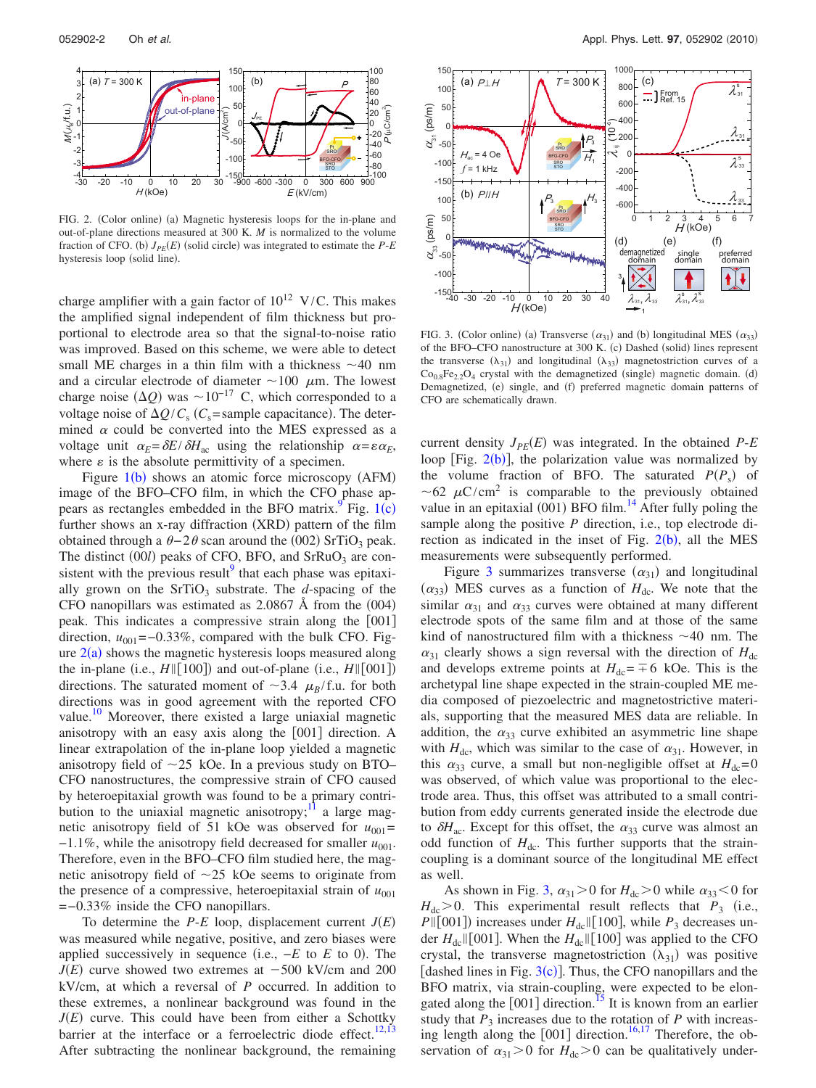<span id="page-2-0"></span>

FIG. 2. (Color online) (a) Magnetic hysteresis loops for the in-plane and out-of-plane directions measured at 300 K. *M* is normalized to the volume fraction of CFO. (b)  $J_{PE}(E)$  (solid circle) was integrated to estimate the  $P$ - $E$ hysteresis loop (solid line).

charge amplifier with a gain factor of  $10^{12}$  V/C. This makes the amplified signal independent of film thickness but proportional to electrode area so that the signal-to-noise ratio was improved. Based on this scheme, we were able to detect small ME charges in a thin film with a thickness  $\sim$ 40 nm and a circular electrode of diameter  $\sim$ 100  $\mu$ m. The lowest charge noise  $(\Delta Q)$  was  $\sim 10^{-17}$  C, which corresponded to a voltage noise of  $\Delta Q / C_s$  (*C<sub>s</sub>*=sample capacitance). The determined  $\alpha$  could be converted into the MES expressed as a voltage unit  $\alpha_E = \delta E / \delta H_{ac}$  using the relationship  $\alpha = \varepsilon \alpha_E$ , where  $\varepsilon$  is the absolute permittivity of a specimen.

Figure  $1(b)$  $1(b)$  shows an atomic force microscopy (AFM) image of the BFO–CFO film, in which the CFO phase appears as rectangles embedded in the BFO matrix.<sup>9</sup> Fig.  $1(c)$  $1(c)$ further shows an x-ray diffraction (XRD) pattern of the film obtained through a  $\theta - 2\theta$  scan around the (002) SrTiO<sub>3</sub> peak. The distinct  $(00l)$  peaks of CFO, BFO, and SrRuO<sub>3</sub> are consistent with the previous result<sup>9</sup> that each phase was epitaxially grown on the  $SrTiO<sub>3</sub>$  substrate. The *d*-spacing of the CFO nanopillars was estimated as  $2.0867$  Å from the  $(004)$ peak. This indicates a compressive strain along the  $[001]$ direction,  $u_{001}$ =−0.33%, compared with the bulk CFO. Figure  $2(a)$  $2(a)$  shows the magnetic hysteresis loops measured along the in-plane (i.e.,  $H \parallel [100]$ ) and out-of-plane (i.e.,  $H \parallel [001]$ ) directions. The saturated moment of  $\sim$ 3.4  $\mu_B$ /f.u. for both directions was in good agreement with the reported CFO value.<sup>[10](#page-3-9)</sup> Moreover, there existed a large uniaxial magnetic anisotropy with an easy axis along the  $[001]$  direction. A linear extrapolation of the in-plane loop yielded a magnetic anisotropy field of  $\sim$ 25 kOe. In a previous study on BTO– CFO nanostructures, the compressive strain of CFO caused by heteroepitaxial growth was found to be a primary contribution to the uniaxial magnetic anisotropy; $\frac{11}{11}$  a large magnetic anisotropy field of 51 kOe was observed for  $u_{001}$ =  $-1.1\%$ , while the anisotropy field decreased for smaller  $u_{001}$ . Therefore, even in the BFO–CFO film studied here, the magnetic anisotropy field of  $\sim$  25 kOe seems to originate from the presence of a compressive, heteroepitaxial strain of  $u_{001}$ =−0.33% inside the CFO nanopillars.

To determine the  $P-E$  loop, displacement current  $J(E)$ was measured while negative, positive, and zero biases were applied successively in sequence (i.e.,  $-E$  to *E* to 0). The  $J(E)$  curve showed two extremes at  $-500$  kV/cm and 200 kV/cm, at which a reversal of *P* occurred. In addition to these extremes, a nonlinear background was found in the  $J(E)$  curve. This could have been from either a Schottky barrier at the interface or a ferroelectric diode effect.<sup>12,[13](#page-3-12)</sup> After subtracting the nonlinear background, the remaining

<span id="page-2-1"></span>

FIG. 3. (Color online) (a) Transverse  $(\alpha_{31})$  and (b) longitudinal MES  $(\alpha_{33})$ of the BFO–CFO nanostructure at 300 K. (c) Dashed (solid) lines represent the transverse  $(\lambda_{31})$  and longitudinal  $(\lambda_{33})$  magnetostriction curves of a  $Co_{0.8}Fe_{2.2}O_4$  crystal with the demagnetized (single) magnetic domain. (d) Demagnetized, (e) single, and (f) preferred magnetic domain patterns of CFO are schematically drawn.

current density  $J_{PE}(E)$  was integrated. In the obtained  $P$ -*E* loop [Fig.  $2(b)$  $2(b)$ ], the polarization value was normalized by the volume fraction of BFO. The saturated  $P(P_s)$  of ~62  $\mu$ C/cm<sup>2</sup> is comparable to the previously obtained value in an epitaxial  $(001)$  BFO film.<sup>14</sup> After fully poling the sample along the positive *P* direction, i.e., top electrode direction as indicated in the inset of Fig.  $2(b)$  $2(b)$ , all the MES measurements were subsequently performed.

Figure [3](#page-2-1) summarizes transverse  $(\alpha_{31})$  and longitudinal  $(\alpha_{33})$  MES curves as a function of  $H_{\text{dc}}$ . We note that the similar  $\alpha_{31}$  and  $\alpha_{33}$  curves were obtained at many different electrode spots of the same film and at those of the same kind of nanostructured film with a thickness  $\sim$ 40 nm. The  $\alpha_{31}$  clearly shows a sign reversal with the direction of  $H_{dc}$ and develops extreme points at  $H_{dc} = \pm 6$  kOe. This is the archetypal line shape expected in the strain-coupled ME media composed of piezoelectric and magnetostrictive materials, supporting that the measured MES data are reliable. In addition, the  $\alpha_{33}$  curve exhibited an asymmetric line shape with  $H_{\text{dc}}$ , which was similar to the case of  $\alpha_{31}$ . However, in this  $\alpha_{33}$  curve, a small but non-negligible offset at  $H_{dc}=0$ was observed, of which value was proportional to the electrode area. Thus, this offset was attributed to a small contribution from eddy currents generated inside the electrode due to  $\delta H_{ac}$ . Except for this offset, the  $\alpha_{33}$  curve was almost an odd function of  $H_{\text{dc}}$ . This further supports that the straincoupling is a dominant source of the longitudinal ME effect as well.

As shown in Fig. [3,](#page-2-1)  $\alpha_{31} > 0$  for  $H_{dc} > 0$  while  $\alpha_{33} < 0$  for  $H_{\text{dc}} > 0$ . This experimental result reflects that  $P_3$  (i.e.,  $P\parallel$ [001]) increases under  $H_{dc}\parallel$ [100], while  $P_3$  decreases under  $H_{dc}$  [001]. When the  $H_{dc}$  [100] was applied to the CFO crystal, the transverse magnetostriction  $(\lambda_{31})$  was positive [dashed lines in Fig.  $3(c)$  $3(c)$ ]. Thus, the CFO nanopillars and the BFO matrix, via strain-coupling, were expected to be elongated along the  $[001]$  direction.<sup>15</sup> It is known from an earlier study that  $P_3$  increases due to the rotation of  $P$  with increasing length along the  $[001]$  direction.<sup>16[,17](#page-3-16)</sup> Therefore, the observation of  $\alpha_{31} > 0$  for  $H_{dc} > 0$  can be qualitatively under